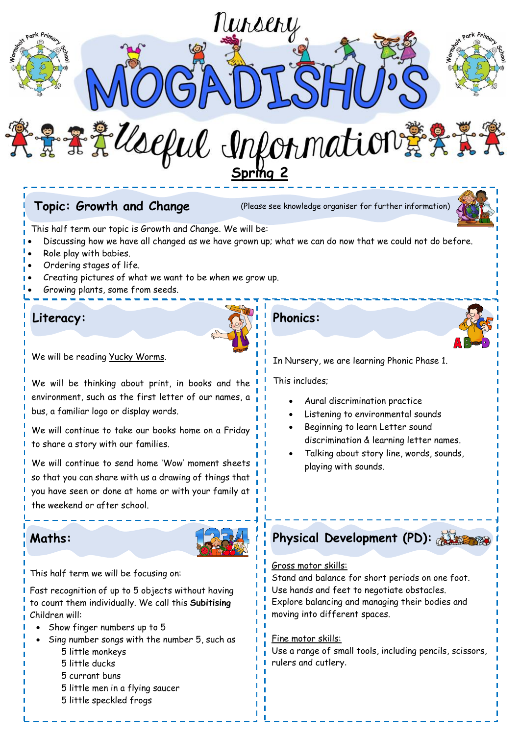

Gross motor skills:

Stand and balance for short periods on one foot. Use hands and feet to negotiate obstacles. Explore balancing and managing their bodies and moving into different spaces.

#### Fine motor skills:

Use a range of small tools, including pencils, scissors, rulers and cutlery.

This half term we will be focusing on:

Fast recognition of up to 5 objects without having to count them individually. We call this **Subitising** Children will:

- Show finger numbers up to 5
- Sing number songs with the number 5, such as 5 little monkeys
	- 5 little ducks
	- 5 currant buns
	- 5 little men in a flying saucer
	- 5 little speckled frogs